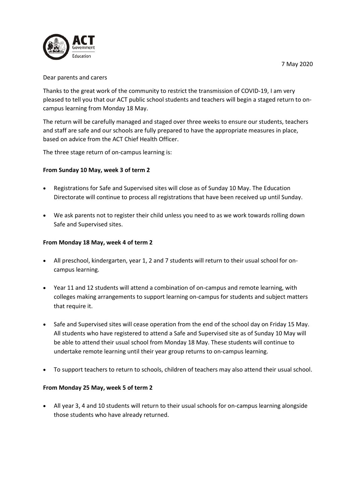7 May 2020



## Dear parents and carers

Thanks to the great work of the community to restrict the transmission of COVID-19, I am very pleased to tell you that our ACT public school students and teachers will begin a staged return to oncampus learning from Monday 18 May.

The return will be carefully managed and staged over three weeks to ensure our students, teachers and staff are safe and our schools are fully prepared to have the appropriate measures in place, based on advice from the ACT Chief Health Officer.

The three stage return of on-campus learning is:

# **From Sunday 10 May, week 3 of term 2**

- Registrations for Safe and Supervised sites will close as of Sunday 10 May. The Education Directorate will continue to process all registrations that have been received up until Sunday.
- We ask parents not to register their child unless you need to as we work towards rolling down Safe and Supervised sites.

## **From Monday 18 May, week 4 of term 2**

- All preschool, kindergarten, year 1, 2 and 7 students will return to their usual school for oncampus learning.
- Year 11 and 12 students will attend a combination of on-campus and remote learning, with colleges making arrangements to support learning on-campus for students and subject matters that require it.
- Safe and Supervised sites will cease operation from the end of the school day on Friday 15 May. All students who have registered to attend a Safe and Supervised site as of Sunday 10 May will be able to attend their usual school from Monday 18 May. These students will continue to undertake remote learning until their year group returns to on-campus learning.
- To support teachers to return to schools, children of teachers may also attend their usual school.

# **From Monday 25 May, week 5 of term 2**

• All year 3, 4 and 10 students will return to their usual schools for on-campus learning alongside those students who have already returned.